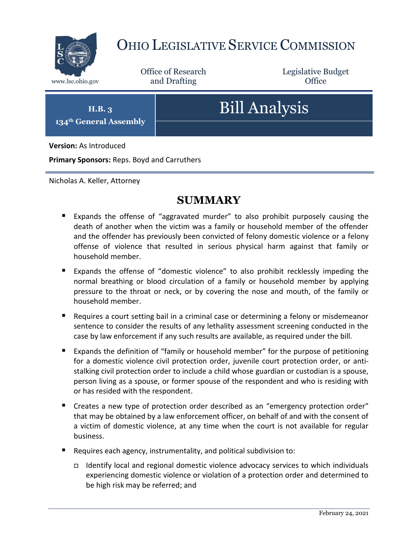

## OHIO LEGISLATIVE SERVICE COMMISSION

Office of Research www.lsc.ohio.gov **and Drafting Office** 

Legislative Budget

**H.B. 3 134th General Assembly**

# Bill Analysis

**Version:** As Introduced

**Primary Sponsors:** Reps. Boyd and Carruthers

Nicholas A. Keller, Attorney

## **SUMMARY**

- Expands the offense of "aggravated murder" to also prohibit purposely causing the death of another when the victim was a family or household member of the offender and the offender has previously been convicted of felony domestic violence or a felony offense of violence that resulted in serious physical harm against that family or household member.
- Expands the offense of "domestic violence" to also prohibit recklessly impeding the normal breathing or blood circulation of a family or household member by applying pressure to the throat or neck, or by covering the nose and mouth, of the family or household member.
- Requires a court setting bail in a criminal case or determining a felony or misdemeanor sentence to consider the results of any lethality assessment screening conducted in the case by law enforcement if any such results are available, as required under the bill.
- Expands the definition of "family or household member" for the purpose of petitioning for a domestic violence civil protection order, juvenile court protection order, or antistalking civil protection order to include a child whose guardian or custodian is a spouse, person living as a spouse, or former spouse of the respondent and who is residing with or has resided with the respondent.
- Creates a new type of protection order described as an "emergency protection order" that may be obtained by a law enforcement officer, on behalf of and with the consent of a victim of domestic violence, at any time when the court is not available for regular business.
- Requires each agency, instrumentality, and political subdivision to:
	- Identify local and regional domestic violence advocacy services to which individuals experiencing domestic violence or violation of a protection order and determined to be high risk may be referred; and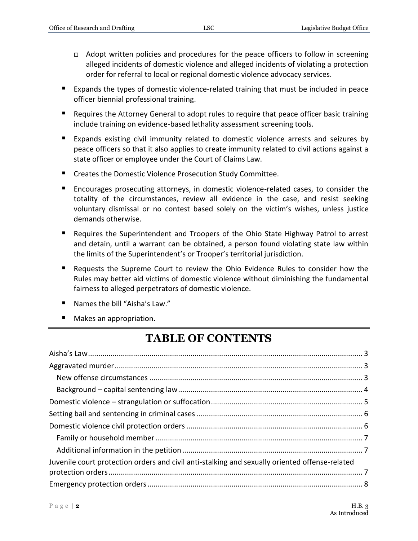- Adopt written policies and procedures for the peace officers to follow in screening alleged incidents of domestic violence and alleged incidents of violating a protection order for referral to local or regional domestic violence advocacy services.
- Expands the types of domestic violence-related training that must be included in peace officer biennial professional training.
- Requires the Attorney General to adopt rules to require that peace officer basic training include training on evidence-based lethality assessment screening tools.
- Expands existing civil immunity related to domestic violence arrests and seizures by peace officers so that it also applies to create immunity related to civil actions against a state officer or employee under the Court of Claims Law.
- **E** Creates the Domestic Violence Prosecution Study Committee.
- Encourages prosecuting attorneys, in domestic violence-related cases, to consider the totality of the circumstances, review all evidence in the case, and resist seeking voluntary dismissal or no contest based solely on the victim's wishes, unless justice demands otherwise.
- Requires the Superintendent and Troopers of the Ohio State Highway Patrol to arrest and detain, until a warrant can be obtained, a person found violating state law within the limits of the Superintendent's or Trooper's territorial jurisdiction.
- Requests the Supreme Court to review the Ohio Evidence Rules to consider how the Rules may better aid victims of domestic violence without diminishing the fundamental fairness to alleged perpetrators of domestic violence.
- Names the bill "Aisha's Law."
- Makes an appropriation.

## **TABLE OF CONTENTS**

| Juvenile court protection orders and civil anti-stalking and sexually oriented offense-related |  |
|------------------------------------------------------------------------------------------------|--|
|                                                                                                |  |
|                                                                                                |  |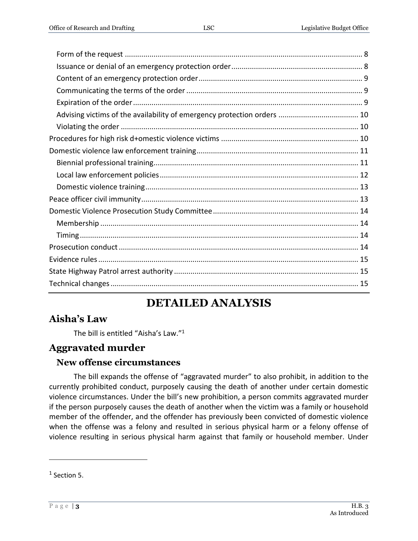## **DETAILED ANALYSIS**

## <span id="page-2-0"></span>**Aisha's Law**

The bill is entitled "Aisha's Law." 1

## <span id="page-2-1"></span>**Aggravated murder**

## <span id="page-2-2"></span>**New offense circumstances**

The bill expands the offense of "aggravated murder" to also prohibit, in addition to the currently prohibited conduct, purposely causing the death of another under certain domestic violence circumstances. Under the bill's new prohibition, a person commits aggravated murder if the person purposely causes the death of another when the victim was a family or household member of the offender, and the offender has previously been convicted of domestic violence when the offense was a felony and resulted in serious physical harm or a felony offense of violence resulting in serious physical harm against that family or household member. Under

 $<sup>1</sup>$  Section 5.</sup>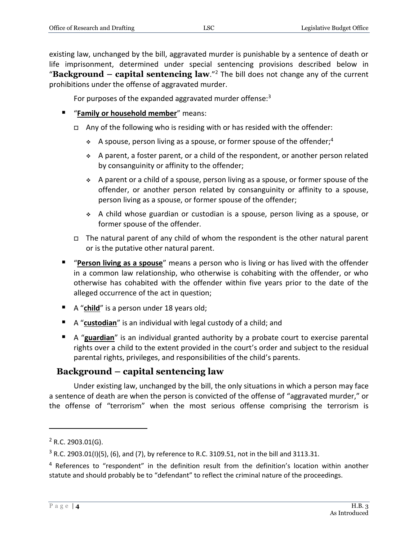existing law, unchanged by the bill, aggravated murder is punishable by a sentence of death or life imprisonment, determined under special sentencing provisions described below in "**Background – capital sentencing law**." <sup>2</sup> The bill does not change any of the current prohibitions under the offense of aggravated murder.

For purposes of the expanded aggravated murder offense: $3$ 

- "**Family or household member**" means:
	- □ Any of the following who is residing with or has resided with the offender:
		- A spouse, person living as a spouse, or former spouse of the offender;<sup>4</sup>
		- $\div$  A parent, a foster parent, or a child of the respondent, or another person related by consanguinity or affinity to the offender;
		- A parent or a child of a spouse, person living as a spouse, or former spouse of the offender, or another person related by consanguinity or affinity to a spouse, person living as a spouse, or former spouse of the offender;
		- A child whose guardian or custodian is a spouse, person living as a spouse, or former spouse of the offender.
	- $\Box$  The natural parent of any child of whom the respondent is the other natural parent or is the putative other natural parent.
- "**Person living as a spouse**" means a person who is living or has lived with the offender in a common law relationship, who otherwise is cohabiting with the offender, or who otherwise has cohabited with the offender within five years prior to the date of the alleged occurrence of the act in question;
- A "**child**" is a person under 18 years old;
- A "**custodian**" is an individual with legal custody of a child; and
- A "**guardian**" is an individual granted authority by a probate court to exercise parental rights over a child to the extent provided in the court's order and subject to the residual parental rights, privileges, and responsibilities of the child's parents.

## <span id="page-3-0"></span>**Background – capital sentencing law**

Under existing law, unchanged by the bill, the only situations in which a person may face a sentence of death are when the person is convicted of the offense of "aggravated murder," or the offense of "terrorism" when the most serious offense comprising the terrorism is

 $2$  R.C. 2903.01(G).

 $3$  R.C. 2903.01(I)(5), (6), and (7), by reference to R.C. 3109.51, not in the bill and 3113.31.

<sup>&</sup>lt;sup>4</sup> References to "respondent" in the definition result from the definition's location within another statute and should probably be to "defendant" to reflect the criminal nature of the proceedings.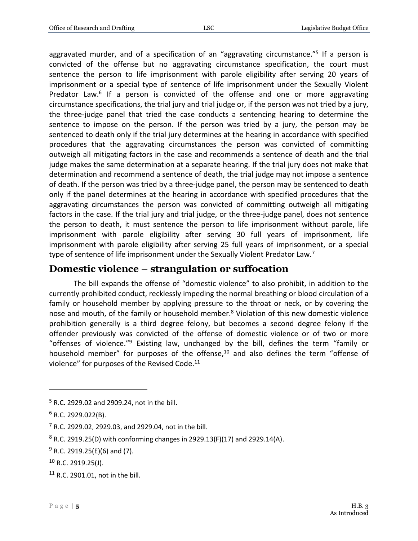aggravated murder, and of a specification of an "aggravating circumstance."<sup>5</sup> If a person is convicted of the offense but no aggravating circumstance specification, the court must sentence the person to life imprisonment with parole eligibility after serving 20 years of imprisonment or a special type of sentence of life imprisonment under the Sexually Violent Predator Law.<sup>6</sup> If a person is convicted of the offense and one or more aggravating circumstance specifications, the trial jury and trial judge or, if the person was not tried by a jury, the three-judge panel that tried the case conducts a sentencing hearing to determine the sentence to impose on the person. If the person was tried by a jury, the person may be sentenced to death only if the trial jury determines at the hearing in accordance with specified procedures that the aggravating circumstances the person was convicted of committing outweigh all mitigating factors in the case and recommends a sentence of death and the trial judge makes the same determination at a separate hearing. If the trial jury does not make that determination and recommend a sentence of death, the trial judge may not impose a sentence of death. If the person was tried by a three-judge panel, the person may be sentenced to death only if the panel determines at the hearing in accordance with specified procedures that the aggravating circumstances the person was convicted of committing outweigh all mitigating factors in the case. If the trial jury and trial judge, or the three-judge panel, does not sentence the person to death, it must sentence the person to life imprisonment without parole, life imprisonment with parole eligibility after serving 30 full years of imprisonment, life imprisonment with parole eligibility after serving 25 full years of imprisonment, or a special type of sentence of life imprisonment under the Sexually Violent Predator Law.<sup>7</sup>

## <span id="page-4-0"></span>**Domestic violence – strangulation or suffocation**

The bill expands the offense of "domestic violence" to also prohibit, in addition to the currently prohibited conduct, recklessly impeding the normal breathing or blood circulation of a family or household member by applying pressure to the throat or neck, or by covering the nose and mouth, of the family or household member.<sup>8</sup> Violation of this new domestic violence prohibition generally is a third degree felony, but becomes a second degree felony if the offender previously was convicted of the offense of domestic violence or of two or more "offenses of violence."<sup>9</sup> Existing law, unchanged by the bill, defines the term "family or household member" for purposes of the offense,<sup>10</sup> and also defines the term "offense of violence" for purposes of the Revised Code.<sup>11</sup>

 $\overline{a}$ 

 $11$  R.C. 2901.01, not in the bill.

<sup>5</sup> R.C. 2929.02 and 2909.24, not in the bill.

 $6$  R.C. 2929.022(B).

<sup>7</sup> R.C. 2929.02, 2929.03, and 2929.04, not in the bill.

 $8$  R.C. 2919.25(D) with conforming changes in 2929.13(F)(17) and 2929.14(A).

 $9$  R.C. 2919.25(E)(6) and (7).

 $10$  R.C. 2919.25(J).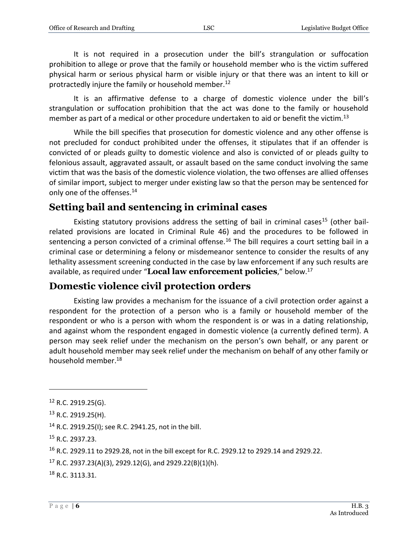It is not required in a prosecution under the bill's strangulation or suffocation prohibition to allege or prove that the family or household member who is the victim suffered physical harm or serious physical harm or visible injury or that there was an intent to kill or protractedly injure the family or household member.<sup>12</sup>

It is an affirmative defense to a charge of domestic violence under the bill's strangulation or suffocation prohibition that the act was done to the family or household member as part of a medical or other procedure undertaken to aid or benefit the victim.<sup>13</sup>

While the bill specifies that prosecution for domestic violence and any other offense is not precluded for conduct prohibited under the offenses, it stipulates that if an offender is convicted of or pleads guilty to domestic violence and also is convicted of or pleads guilty to felonious assault, aggravated assault, or assault based on the same conduct involving the same victim that was the basis of the domestic violence violation, the two offenses are allied offenses of similar import, subject to merger under existing law so that the person may be sentenced for only one of the offenses.<sup>14</sup>

## <span id="page-5-0"></span>**Setting bail and sentencing in criminal cases**

Existing statutory provisions address the setting of bail in criminal cases<sup>15</sup> (other bailrelated provisions are located in Criminal Rule 46) and the procedures to be followed in sentencing a person convicted of a criminal offense.<sup>16</sup> The bill requires a court setting bail in a criminal case or determining a felony or misdemeanor sentence to consider the results of any lethality assessment screening conducted in the case by law enforcement if any such results are available, as required under "**Local law enforcement policies**," below.<sup>17</sup>

## <span id="page-5-1"></span>**Domestic violence civil protection orders**

Existing law provides a mechanism for the issuance of a civil protection order against a respondent for the protection of a person who is a family or household member of the respondent or who is a person with whom the respondent is or was in a dating relationship, and against whom the respondent engaged in domestic violence (a currently defined term). A person may seek relief under the mechanism on the person's own behalf, or any parent or adult household member may seek relief under the mechanism on behalf of any other family or household member.<sup>18</sup>

 $\overline{a}$ 

<sup>18</sup> R.C. 3113.31.

 $12$  R.C. 2919.25(G).

<sup>13</sup> R.C. 2919.25(H).

<sup>14</sup> R.C. 2919.25(I); see R.C. 2941.25, not in the bill.

<sup>15</sup> R.C. 2937.23.

<sup>16</sup> R.C. 2929.11 to 2929.28, not in the bill except for R.C. 2929.12 to 2929.14 and 2929.22.

 $17$  R.C. 2937.23(A)(3), 2929.12(G), and 2929.22(B)(1)(h).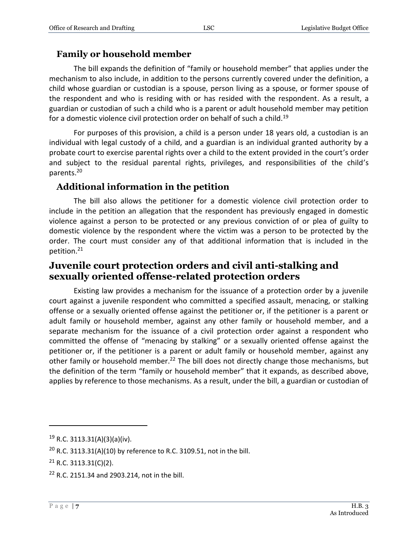#### <span id="page-6-0"></span>**Family or household member**

The bill expands the definition of "family or household member" that applies under the mechanism to also include, in addition to the persons currently covered under the definition, a child whose guardian or custodian is a spouse, person living as a spouse, or former spouse of the respondent and who is residing with or has resided with the respondent. As a result, a guardian or custodian of such a child who is a parent or adult household member may petition for a domestic violence civil protection order on behalf of such a child.<sup>19</sup>

For purposes of this provision, a child is a person under 18 years old, a custodian is an individual with legal custody of a child, and a guardian is an individual granted authority by a probate court to exercise parental rights over a child to the extent provided in the court's order and subject to the residual parental rights, privileges, and responsibilities of the child's parents.<sup>20</sup>

## <span id="page-6-1"></span>**Additional information in the petition**

The bill also allows the petitioner for a domestic violence civil protection order to include in the petition an allegation that the respondent has previously engaged in domestic violence against a person to be protected or any previous conviction of or plea of guilty to domestic violence by the respondent where the victim was a person to be protected by the order. The court must consider any of that additional information that is included in the petition.<sup>21</sup>

## <span id="page-6-2"></span>**Juvenile court protection orders and civil anti-stalking and sexually oriented offense-related protection orders**

Existing law provides a mechanism for the issuance of a protection order by a juvenile court against a juvenile respondent who committed a specified assault, menacing, or stalking offense or a sexually oriented offense against the petitioner or, if the petitioner is a parent or adult family or household member, against any other family or household member, and a separate mechanism for the issuance of a civil protection order against a respondent who committed the offense of "menacing by stalking" or a sexually oriented offense against the petitioner or, if the petitioner is a parent or adult family or household member, against any other family or household member.<sup>22</sup> The bill does not directly change those mechanisms, but the definition of the term "family or household member" that it expands, as described above, applies by reference to those mechanisms. As a result, under the bill, a guardian or custodian of

<sup>19</sup> R.C. 3113.31(A)(3)(a)(iv).

<sup>&</sup>lt;sup>20</sup> R.C. 3113.31(A)(10) by reference to R.C. 3109.51, not in the bill.

 $21$  R.C. 3113.31(C)(2).

<sup>22</sup> R.C. 2151.34 and 2903.214, not in the bill.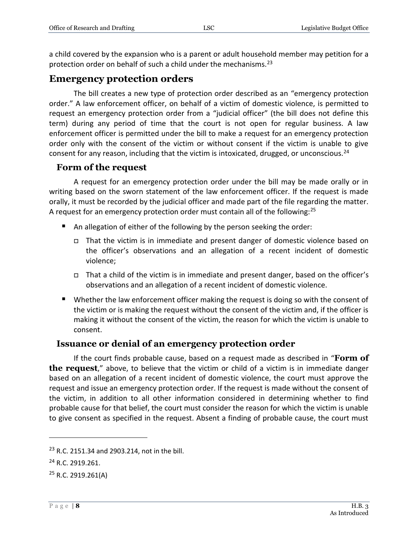a child covered by the expansion who is a parent or adult household member may petition for a protection order on behalf of such a child under the mechanisms.<sup>23</sup>

### <span id="page-7-0"></span>**Emergency protection orders**

The bill creates a new type of protection order described as an "emergency protection order." A law enforcement officer, on behalf of a victim of domestic violence, is permitted to request an emergency protection order from a "judicial officer" (the bill does not define this term) during any period of time that the court is not open for regular business. A law enforcement officer is permitted under the bill to make a request for an emergency protection order only with the consent of the victim or without consent if the victim is unable to give consent for any reason, including that the victim is intoxicated, drugged, or unconscious.<sup>24</sup>

#### <span id="page-7-1"></span>**Form of the request**

A request for an emergency protection order under the bill may be made orally or in writing based on the sworn statement of the law enforcement officer. If the request is made orally, it must be recorded by the judicial officer and made part of the file regarding the matter. A request for an emergency protection order must contain all of the following:<sup>25</sup>

- An allegation of either of the following by the person seeking the order:
	- That the victim is in immediate and present danger of domestic violence based on the officer's observations and an allegation of a recent incident of domestic violence;
	- $\Box$  That a child of the victim is in immediate and present danger, based on the officer's observations and an allegation of a recent incident of domestic violence.
- Whether the law enforcement officer making the request is doing so with the consent of the victim or is making the request without the consent of the victim and, if the officer is making it without the consent of the victim, the reason for which the victim is unable to consent.

#### <span id="page-7-2"></span>**Issuance or denial of an emergency protection order**

If the court finds probable cause, based on a request made as described in "**Form of the request**," above, to believe that the victim or child of a victim is in immediate danger based on an allegation of a recent incident of domestic violence, the court must approve the request and issue an emergency protection order. If the request is made without the consent of the victim, in addition to all other information considered in determining whether to find probable cause for that belief, the court must consider the reason for which the victim is unable to give consent as specified in the request. Absent a finding of probable cause, the court must

<sup>&</sup>lt;sup>23</sup> R.C. 2151.34 and 2903.214, not in the bill.

<sup>&</sup>lt;sup>24</sup> R.C. 2919.261.

 $25$  R.C. 2919.261(A)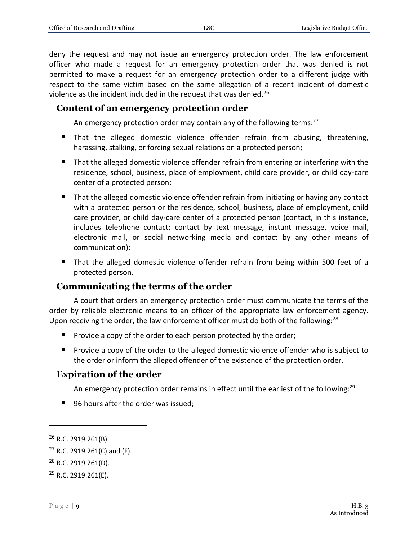deny the request and may not issue an emergency protection order. The law enforcement officer who made a request for an emergency protection order that was denied is not permitted to make a request for an emergency protection order to a different judge with respect to the same victim based on the same allegation of a recent incident of domestic violence as the incident included in the request that was denied.<sup>26</sup>

#### <span id="page-8-0"></span>**Content of an emergency protection order**

An emergency protection order may contain any of the following terms:<sup>27</sup>

- That the alleged domestic violence offender refrain from abusing, threatening, harassing, stalking, or forcing sexual relations on a protected person;
- That the alleged domestic violence offender refrain from entering or interfering with the residence, school, business, place of employment, child care provider, or child day-care center of a protected person;
- **That the alleged domestic violence offender refrain from initiating or having any contact** with a protected person or the residence, school, business, place of employment, child care provider, or child day-care center of a protected person (contact, in this instance, includes telephone contact; contact by text message, instant message, voice mail, electronic mail, or social networking media and contact by any other means of communication);
- That the alleged domestic violence offender refrain from being within 500 feet of a protected person.

#### <span id="page-8-1"></span>**Communicating the terms of the order**

A court that orders an emergency protection order must communicate the terms of the order by reliable electronic means to an officer of the appropriate law enforcement agency. Upon receiving the order, the law enforcement officer must do both of the following: $^{28}$ 

- $\blacksquare$  Provide a copy of the order to each person protected by the order;
- **Provide a copy of the order to the alleged domestic violence offender who is subject to** the order or inform the alleged offender of the existence of the protection order.

#### <span id="page-8-2"></span>**Expiration of the order**

An emergency protection order remains in effect until the earliest of the following:<sup>29</sup>

■ 96 hours after the order was issued:

<sup>26</sup> R.C. 2919.261(B).

 $27$  R.C. 2919.261(C) and (F).

<sup>28</sup> R.C. 2919.261(D).

 $29$  R.C. 2919.261(E).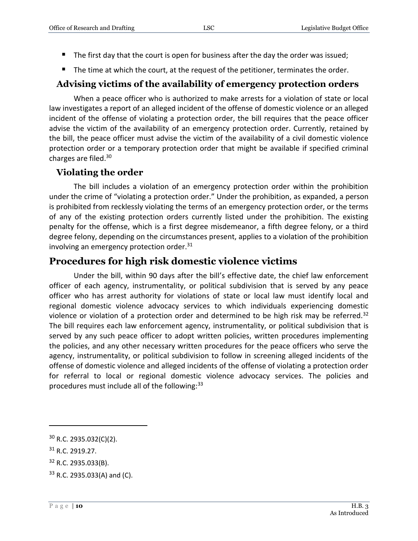- The first day that the court is open for business after the day the order was issued;
- $\blacksquare$  The time at which the court, at the request of the petitioner, terminates the order.

## <span id="page-9-0"></span>**Advising victims of the availability of emergency protection orders**

When a peace officer who is authorized to make arrests for a violation of state or local law investigates a report of an alleged incident of the offense of domestic violence or an alleged incident of the offense of violating a protection order, the bill requires that the peace officer advise the victim of the availability of an emergency protection order. Currently, retained by the bill, the peace officer must advise the victim of the availability of a civil domestic violence protection order or a temporary protection order that might be available if specified criminal charges are filed.<sup>30</sup>

## <span id="page-9-1"></span>**Violating the order**

The bill includes a violation of an emergency protection order within the prohibition under the crime of "violating a protection order." Under the prohibition, as expanded, a person is prohibited from recklessly violating the terms of an emergency protection order, or the terms of any of the existing protection orders currently listed under the prohibition. The existing penalty for the offense, which is a first degree misdemeanor, a fifth degree felony, or a third degree felony, depending on the circumstances present, applies to a violation of the prohibition involving an emergency protection order. $31$ 

## <span id="page-9-2"></span>**Procedures for high risk domestic violence victims**

Under the bill, within 90 days after the bill's effective date, the chief law enforcement officer of each agency, instrumentality, or political subdivision that is served by any peace officer who has arrest authority for violations of state or local law must identify local and regional domestic violence advocacy services to which individuals experiencing domestic violence or violation of a protection order and determined to be high risk may be referred.<sup>32</sup> The bill requires each law enforcement agency, instrumentality, or political subdivision that is served by any such peace officer to adopt written policies, written procedures implementing the policies, and any other necessary written procedures for the peace officers who serve the agency, instrumentality, or political subdivision to follow in screening alleged incidents of the offense of domestic violence and alleged incidents of the offense of violating a protection order for referral to local or regional domestic violence advocacy services. The policies and procedures must include all of the following: $33$ 

 $30$  R.C. 2935.032(C)(2).

<sup>31</sup> R.C. 2919.27.

<sup>32</sup> R.C. 2935.033(B).

<sup>33</sup> R.C. 2935.033(A) and (C).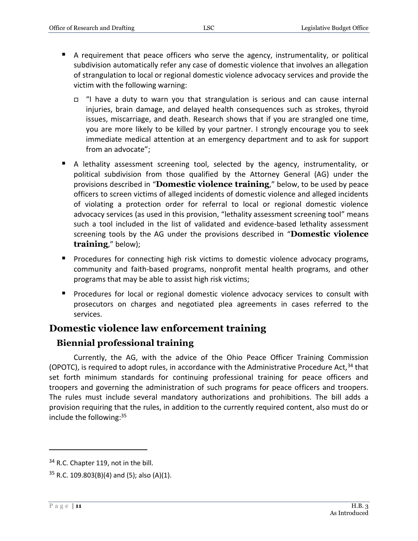- A requirement that peace officers who serve the agency, instrumentality, or political subdivision automatically refer any case of domestic violence that involves an allegation of strangulation to local or regional domestic violence advocacy services and provide the victim with the following warning:
	- "I have a duty to warn you that strangulation is serious and can cause internal injuries, brain damage, and delayed health consequences such as strokes, thyroid issues, miscarriage, and death. Research shows that if you are strangled one time, you are more likely to be killed by your partner. I strongly encourage you to seek immediate medical attention at an emergency department and to ask for support from an advocate";
- A lethality assessment screening tool, selected by the agency, instrumentality, or political subdivision from those qualified by the Attorney General (AG) under the provisions described in "**Domestic violence training**," below, to be used by peace officers to screen victims of alleged incidents of domestic violence and alleged incidents of violating a protection order for referral to local or regional domestic violence advocacy services (as used in this provision, "lethality assessment screening tool" means such a tool included in the list of validated and evidence-based lethality assessment screening tools by the AG under the provisions described in "**Domestic violence training**," below);
- **Procedures for connecting high risk victims to domestic violence advocacy programs,** community and faith-based programs, nonprofit mental health programs, and other programs that may be able to assist high risk victims;
- **Procedures for local or regional domestic violence advocacy services to consult with** prosecutors on charges and negotiated plea agreements in cases referred to the services.

## <span id="page-10-0"></span>**Domestic violence law enforcement training**

## <span id="page-10-1"></span>**Biennial professional training**

Currently, the AG, with the advice of the Ohio Peace Officer Training Commission (OPOTC), is required to adopt rules, in accordance with the Administrative Procedure Act,  $34$  that set forth minimum standards for continuing professional training for peace officers and troopers and governing the administration of such programs for peace officers and troopers. The rules must include several mandatory authorizations and prohibitions. The bill adds a provision requiring that the rules, in addition to the currently required content, also must do or include the following:<sup>35</sup>

<sup>&</sup>lt;sup>34</sup> R.C. Chapter 119, not in the bill.

 $35$  R.C. 109.803(B)(4) and (5); also (A)(1).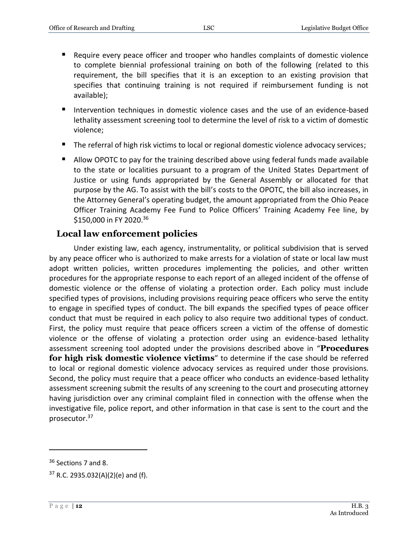- Require every peace officer and trooper who handles complaints of domestic violence to complete biennial professional training on both of the following (related to this requirement, the bill specifies that it is an exception to an existing provision that specifies that continuing training is not required if reimbursement funding is not available);
- Intervention techniques in domestic violence cases and the use of an evidence-based lethality assessment screening tool to determine the level of risk to a victim of domestic violence;
- The referral of high risk victims to local or regional domestic violence advocacy services;
- Allow OPOTC to pay for the training described above using federal funds made available to the state or localities pursuant to a program of the United States Department of Justice or using funds appropriated by the General Assembly or allocated for that purpose by the AG. To assist with the bill's costs to the OPOTC, the bill also increases, in the Attorney General's operating budget, the amount appropriated from the Ohio Peace Officer Training Academy Fee Fund to Police Officers' Training Academy Fee line, by \$150,000 in FY 2020. 36

#### <span id="page-11-0"></span>**Local law enforcement policies**

Under existing law, each agency, instrumentality, or political subdivision that is served by any peace officer who is authorized to make arrests for a violation of state or local law must adopt written policies, written procedures implementing the policies, and other written procedures for the appropriate response to each report of an alleged incident of the offense of domestic violence or the offense of violating a protection order. Each policy must include specified types of provisions, including provisions requiring peace officers who serve the entity to engage in specified types of conduct. The bill expands the specified types of peace officer conduct that must be required in each policy to also require two additional types of conduct. First, the policy must require that peace officers screen a victim of the offense of domestic violence or the offense of violating a protection order using an evidence-based lethality assessment screening tool adopted under the provisions described above in "**Procedures for high risk domestic violence victims**" to determine if the case should be referred to local or regional domestic violence advocacy services as required under those provisions. Second, the policy must require that a peace officer who conducts an evidence-based lethality assessment screening submit the results of any screening to the court and prosecuting attorney having jurisdiction over any criminal complaint filed in connection with the offense when the investigative file, police report, and other information in that case is sent to the court and the prosecutor.<sup>37</sup>

<sup>&</sup>lt;sup>36</sup> Sections 7 and 8.

<sup>37</sup> R.C. 2935.032(A)(2)(e) and (f).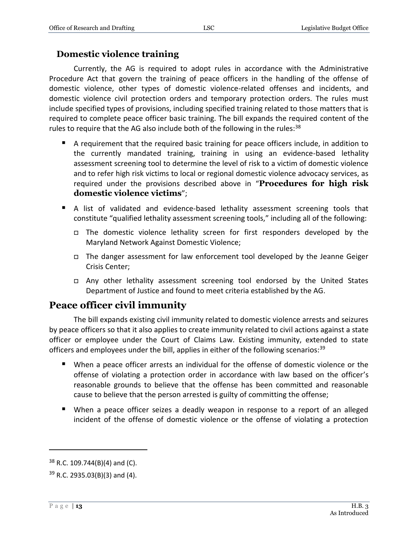#### <span id="page-12-0"></span>**Domestic violence training**

Currently, the AG is required to adopt rules in accordance with the Administrative Procedure Act that govern the training of peace officers in the handling of the offense of domestic violence, other types of domestic violence-related offenses and incidents, and domestic violence civil protection orders and temporary protection orders. The rules must include specified types of provisions, including specified training related to those matters that is required to complete peace officer basic training. The bill expands the required content of the rules to require that the AG also include both of the following in the rules: $38$ 

- A requirement that the required basic training for peace officers include, in addition to the currently mandated training, training in using an evidence-based lethality assessment screening tool to determine the level of risk to a victim of domestic violence and to refer high risk victims to local or regional domestic violence advocacy services, as required under the provisions described above in "**Procedures for high risk domestic violence victims**";
- A list of validated and evidence-based lethality assessment screening tools that constitute "qualified lethality assessment screening tools," including all of the following:
	- □ The domestic violence lethality screen for first responders developed by the Maryland Network Against Domestic Violence;
	- $\Box$  The danger assessment for law enforcement tool developed by the Jeanne Geiger Crisis Center;
	- Any other lethality assessment screening tool endorsed by the United States Department of Justice and found to meet criteria established by the AG.

## <span id="page-12-1"></span>**Peace officer civil immunity**

The bill expands existing civil immunity related to domestic violence arrests and seizures by peace officers so that it also applies to create immunity related to civil actions against a state officer or employee under the Court of Claims Law. Existing immunity, extended to state officers and employees under the bill, applies in either of the following scenarios: $39$ 

- When a peace officer arrests an individual for the offense of domestic violence or the offense of violating a protection order in accordance with law based on the officer's reasonable grounds to believe that the offense has been committed and reasonable cause to believe that the person arrested is guilty of committing the offense;
- When a peace officer seizes a deadly weapon in response to a report of an alleged incident of the offense of domestic violence or the offense of violating a protection

 $38$  R.C. 109.744(B)(4) and (C).

 $39$  R.C. 2935.03(B)(3) and (4).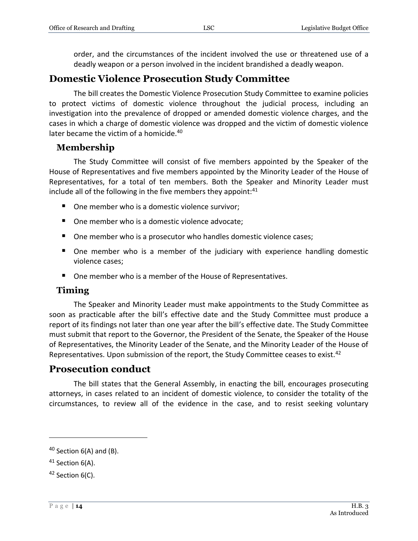order, and the circumstances of the incident involved the use or threatened use of a deadly weapon or a person involved in the incident brandished a deadly weapon.

### <span id="page-13-0"></span>**Domestic Violence Prosecution Study Committee**

The bill creates the Domestic Violence Prosecution Study Committee to examine policies to protect victims of domestic violence throughout the judicial process, including an investigation into the prevalence of dropped or amended domestic violence charges, and the cases in which a charge of domestic violence was dropped and the victim of domestic violence later became the victim of a homicide.<sup>40</sup>

#### <span id="page-13-1"></span>**Membership**

The Study Committee will consist of five members appointed by the Speaker of the House of Representatives and five members appointed by the Minority Leader of the House of Representatives, for a total of ten members. Both the Speaker and Minority Leader must include all of the following in the five members they appoint: $41$ 

- One member who is a domestic violence survivor;
- One member who is a domestic violence advocate;
- One member who is a prosecutor who handles domestic violence cases;
- One member who is a member of the judiciary with experience handling domestic violence cases;
- One member who is a member of the House of Representatives.

#### <span id="page-13-2"></span>**Timing**

The Speaker and Minority Leader must make appointments to the Study Committee as soon as practicable after the bill's effective date and the Study Committee must produce a report of its findings not later than one year after the bill's effective date. The Study Committee must submit that report to the Governor, the President of the Senate, the Speaker of the House of Representatives, the Minority Leader of the Senate, and the Minority Leader of the House of Representatives. Upon submission of the report, the Study Committee ceases to exist.<sup>42</sup>

## <span id="page-13-3"></span>**Prosecution conduct**

The bill states that the General Assembly, in enacting the bill, encourages prosecuting attorneys, in cases related to an incident of domestic violence, to consider the totality of the circumstances, to review all of the evidence in the case, and to resist seeking voluntary

 $40$  Section 6(A) and (B).

<sup>41</sup> Section 6(A).

<sup>&</sup>lt;sup>42</sup> Section 6(C).